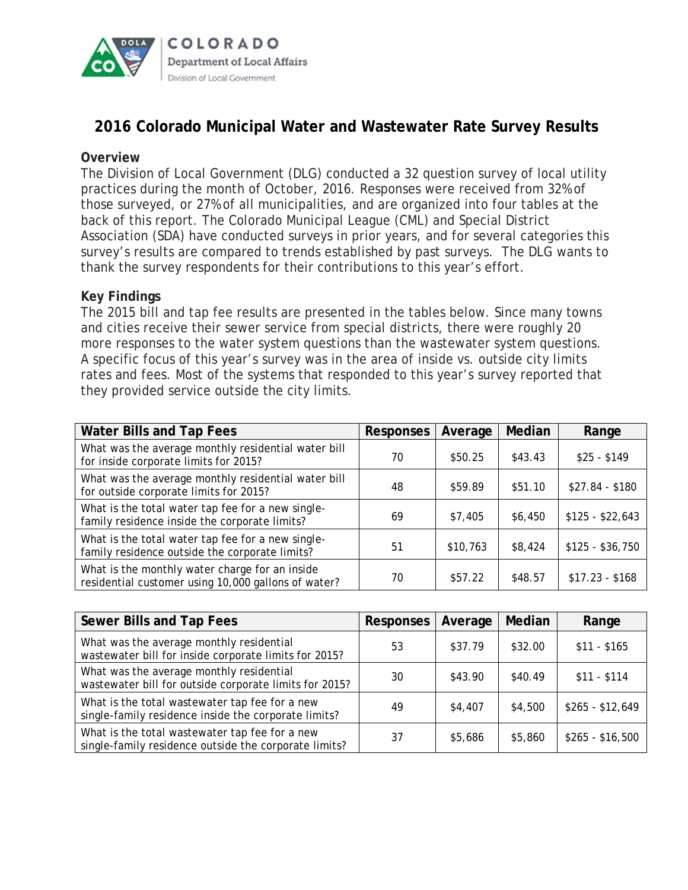

# **2016 Colorado Municipal Water and Wastewater Rate Survey Results**

# **Overview**

The Division of Local Government (DLG) conducted a 32 question survey of local utility practices during the month of October, 2016. Responses were received from 32% of those surveyed, or 27% of all municipalities, and are organized into four tables at the back of this report. The Colorado Municipal League (CML) and Special District Association (SDA) have conducted surveys in prior years, and for several categories this survey's results are compared to trends established by past surveys. The DLG wants to thank the survey respondents for their contributions to this year's effort.

# **Key Findings**

The 2015 bill and tap fee results are presented in the tables below. Since many towns and cities receive their sewer service from special districts, there were roughly 20 more responses to the water system questions than the wastewater system questions. A specific focus of this year's survey was in the area of inside vs. outside city limits rates and fees. Most of the systems that responded to this year's survey reported that they provided service outside the city limits.

| <b>Water Bills and Tap Fees</b>                                                                       | <b>Responses</b> | Average  | Median  | Range            |
|-------------------------------------------------------------------------------------------------------|------------------|----------|---------|------------------|
| What was the average monthly residential water bill<br>for inside corporate limits for 2015?          | 70               | \$50.25  | \$43.43 | $$25 - $149$     |
| What was the average monthly residential water bill<br>for outside corporate limits for 2015?         | 48               | \$59.89  | \$51.10 | $$27.84 - $180$  |
| What is the total water tap fee for a new single-<br>family residence inside the corporate limits?    | 69               | \$7,405  | \$6,450 | $$125 - $22,643$ |
| What is the total water tap fee for a new single-<br>family residence outside the corporate limits?   | 51               | \$10,763 | \$8,424 | $$125 - $36,750$ |
| What is the monthly water charge for an inside<br>residential customer using 10,000 gallons of water? | 70               | \$57.22  | \$48.57 | $$17.23 - $168$  |

| Sewer Bills and Tap Fees                                                                                | Responses | Average | Median  | Range            |
|---------------------------------------------------------------------------------------------------------|-----------|---------|---------|------------------|
| What was the average monthly residential<br>wastewater bill for inside corporate limits for 2015?       | 53        | \$37.79 | \$32.00 | $$11 - $165$     |
| What was the average monthly residential<br>wastewater bill for outside corporate limits for 2015?      | 30        | \$43.90 | \$40.49 | $$11 - $114$     |
| What is the total wastewater tap fee for a new<br>single-family residence inside the corporate limits?  | 49        | \$4,407 | \$4,500 | $$265 - $12,649$ |
| What is the total wastewater tap fee for a new<br>single-family residence outside the corporate limits? | 37        | \$5,686 | \$5,860 | $$265 - $16,500$ |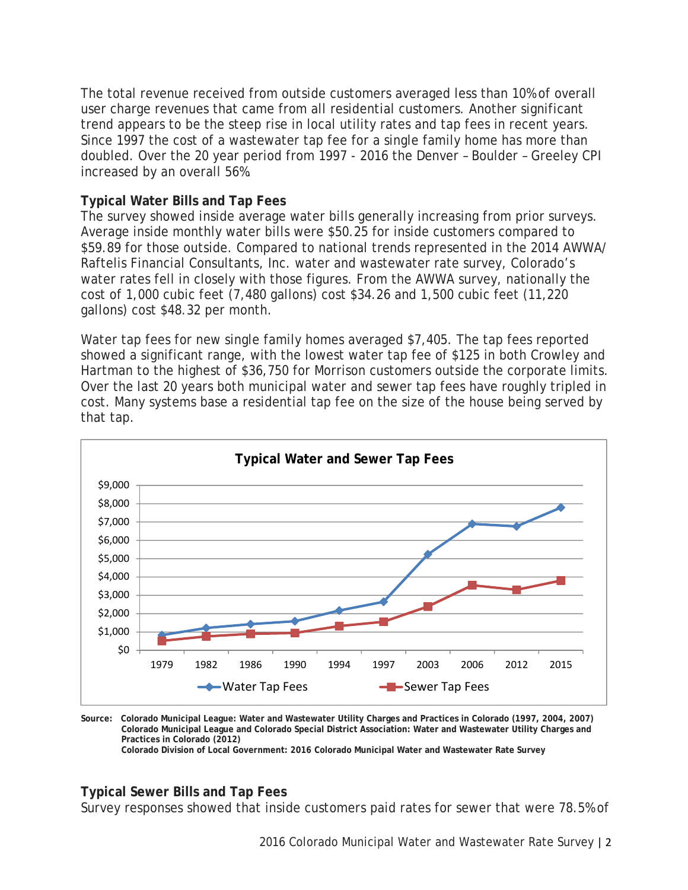The total revenue received from outside customers averaged less than 10% of overall user charge revenues that came from all residential customers. Another significant trend appears to be the steep rise in local utility rates and tap fees in recent years. Since 1997 the cost of a wastewater tap fee for a single family home has more than doubled. Over the 20 year period from 1997 - 2016 the Denver – Boulder – Greeley CPI increased by an overall 56%.

# **Typical Water Bills and Tap Fees**

The survey showed inside average water bills generally increasing from prior surveys. Average inside monthly water bills were \$50.25 for inside customers compared to \$59.89 for those outside. Compared to national trends represented in the 2014 AWWA/ Raftelis Financial Consultants, Inc. water and wastewater rate survey, Colorado's water rates fell in closely with those figures. From the AWWA survey, nationally the cost of 1,000 cubic feet (7,480 gallons) cost \$34.26 and 1,500 cubic feet (11,220 gallons) cost \$48.32 per month.

Water tap fees for new single family homes averaged \$7,405. The tap fees reported showed a significant range, with the lowest water tap fee of \$125 in both Crowley and Hartman to the highest of \$36,750 for Morrison customers outside the corporate limits. Over the last 20 years both municipal water and sewer tap fees have roughly tripled in cost. Many systems base a residential tap fee on the size of the house being served by that tap.



**Source: Colorado Municipal League: Water and Wastewater Utility Charges and Practices in Colorado (1997, 2004, 2007) Colorado Municipal League and Colorado Special District Association: Water and Wastewater Utility Charges and Practices in Colorado (2012)** 

 **Colorado Division of Local Government: 2016 Colorado Municipal Water and Wastewater Rate Survey** 

## **Typical Sewer Bills and Tap Fees**

Survey responses showed that inside customers paid rates for sewer that were 78.5% of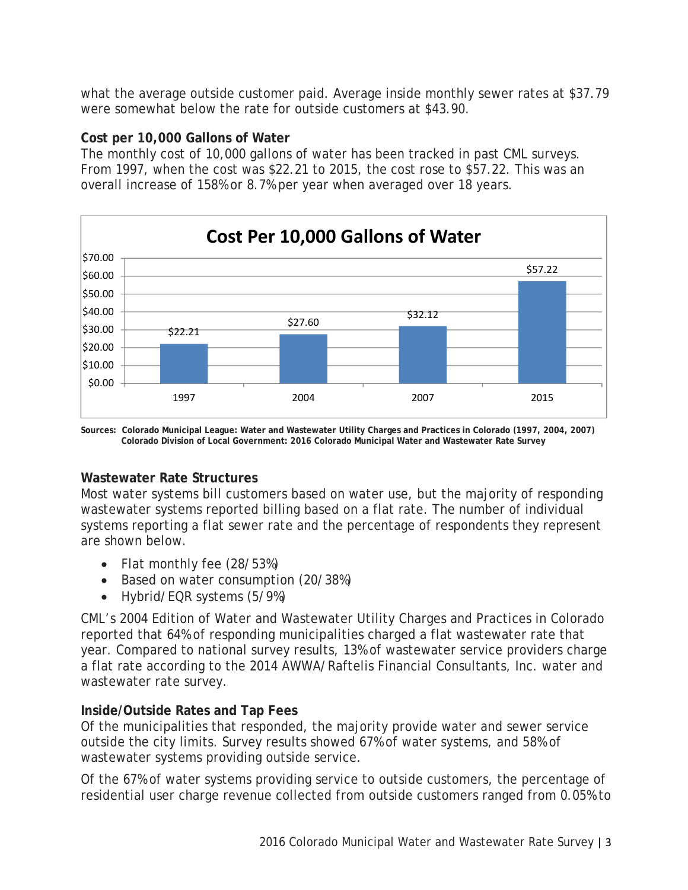what the average outside customer paid. Average inside monthly sewer rates at \$37.79 were somewhat below the rate for outside customers at \$43.90.

# **Cost per 10,000 Gallons of Water**

The monthly cost of 10,000 gallons of water has been tracked in past CML surveys. From 1997, when the cost was \$22.21 to 2015, the cost rose to \$57.22. This was an overall increase of 158% or 8.7% per year when averaged over 18 years.



**Sources: Colorado Municipal League: Water and Wastewater Utility Charges and Practices in Colorado (1997, 2004, 2007) Colorado Division of Local Government: 2016 Colorado Municipal Water and Wastewater Rate Survey** 

# **Wastewater Rate Structures**

Most water systems bill customers based on water use, but the majority of responding wastewater systems reported billing based on a flat rate. The number of individual systems reporting a flat sewer rate and the percentage of respondents they represent are shown below.

- Flat monthly fee (28/53%)
- Based on water consumption (20/38%)
- Hybrid/EQR systems (5/9%)

CML's 2004 Edition of Water and Wastewater Utility Charges and Practices in Colorado reported that 64% of responding municipalities charged a flat wastewater rate that year. Compared to national survey results, 13% of wastewater service providers charge a flat rate according to the 2014 AWWA/Raftelis Financial Consultants, Inc. water and wastewater rate survey.

# **Inside/Outside Rates and Tap Fees**

Of the municipalities that responded, the majority provide water and sewer service outside the city limits. Survey results showed 67% of water systems, and 58% of wastewater systems providing outside service.

Of the 67% of water systems providing service to outside customers, the percentage of residential user charge revenue collected from outside customers ranged from 0.05% to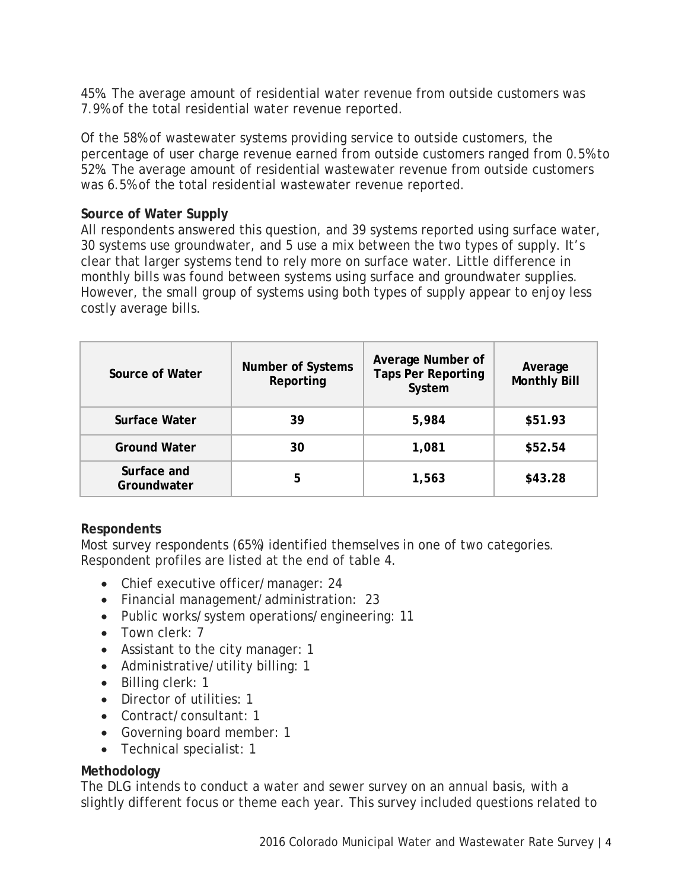45%. The average amount of residential water revenue from outside customers was 7.9% of the total residential water revenue reported.

Of the 58% of wastewater systems providing service to outside customers, the percentage of user charge revenue earned from outside customers ranged from 0.5% to 52%. The average amount of residential wastewater revenue from outside customers was 6.5% of the total residential wastewater revenue reported.

# **Source of Water Supply**

All respondents answered this question, and 39 systems reported using surface water, 30 systems use groundwater, and 5 use a mix between the two types of supply. It's clear that larger systems tend to rely more on surface water. Little difference in monthly bills was found between systems using surface and groundwater supplies. However, the small group of systems using both types of supply appear to enjoy less costly average bills.

| Source of Water            | <b>Number of Systems</b><br>Reporting | Average Number of<br><b>Taps Per Reporting</b><br>System | Average<br><b>Monthly Bill</b> |
|----------------------------|---------------------------------------|----------------------------------------------------------|--------------------------------|
| Surface Water              | 39                                    | 5,984                                                    | \$51.93                        |
| <b>Ground Water</b>        | 30                                    | 1,081                                                    | \$52.54                        |
| Surface and<br>Groundwater | 5                                     | 1,563                                                    | \$43.28                        |

## **Respondents**

Most survey respondents (65%) identified themselves in one of two categories. Respondent profiles are listed at the end of table 4.

- Chief executive officer/manager: 24
- Financial management/administration: 23
- Public works/system operations/engineering: 11
- Town clerk: 7
- Assistant to the city manager: 1
- Administrative/utility billing: 1
- Billing clerk: 1
- Director of utilities: 1
- Contract/consultant: 1
- Governing board member: 1
- Technical specialist: 1

# **Methodology**

The DLG intends to conduct a water and sewer survey on an annual basis, with a slightly different focus or theme each year. This survey included questions related to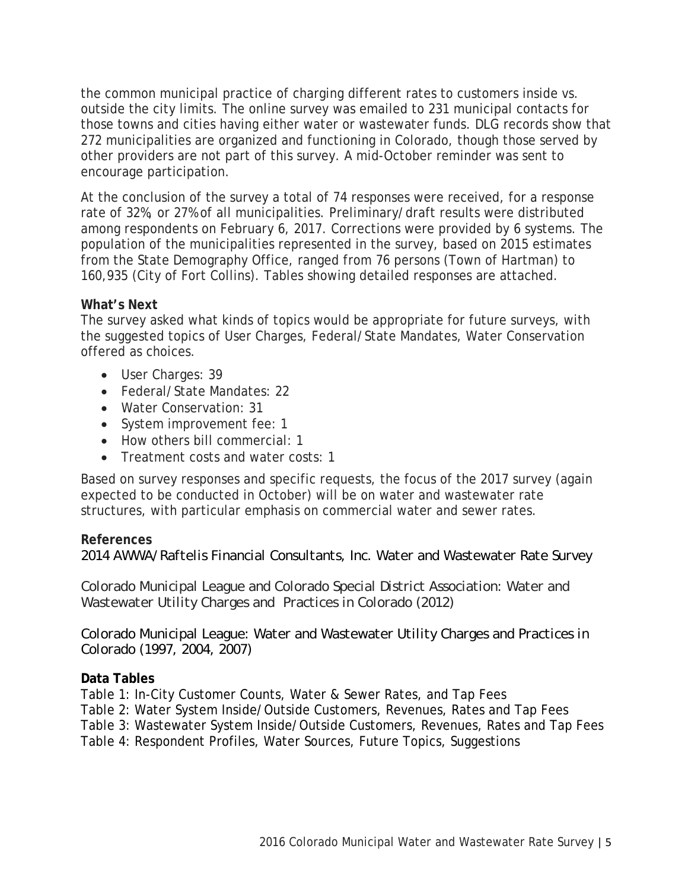the common municipal practice of charging different rates to customers inside vs. outside the city limits. The online survey was emailed to 231 municipal contacts for those towns and cities having either water or wastewater funds. DLG records show that 272 municipalities are organized and functioning in Colorado, though those served by other providers are not part of this survey. A mid-October reminder was sent to encourage participation.

At the conclusion of the survey a total of 74 responses were received, for a response rate of 32%, or 27% of all municipalities. Preliminary/draft results were distributed among respondents on February 6, 2017. Corrections were provided by 6 systems. The population of the municipalities represented in the survey, based on 2015 estimates from the State Demography Office, ranged from 76 persons (Town of Hartman) to 160,935 (City of Fort Collins). Tables showing detailed responses are attached.

# **What's Next**

The survey asked what kinds of topics would be appropriate for future surveys, with the suggested topics of User Charges, Federal/State Mandates, Water Conservation offered as choices.

- User Charges: 39
- Federal/State Mandates: 22
- Water Conservation: 31
- System improvement fee: 1
- How others bill commercial: 1
- Treatment costs and water costs: 1

Based on survey responses and specific requests, the focus of the 2017 survey (again expected to be conducted in October) will be on water and wastewater rate structures, with particular emphasis on commercial water and sewer rates.

# **References**

*2014 AWWA/Raftelis Financial Consultants, Inc. Water and Wastewater Rate Survey* 

*Colorado Municipal League and Colorado Special District Association: Water and Wastewater Utility Charges and Practices in Colorado (2012)*

*Colorado Municipal League: Water and Wastewater Utility Charges and Practices in Colorado (1997, 2004, 2007)* 

# **Data Tables**

Table 1: In-City Customer Counts, Water & Sewer Rates, and Tap Fees

Table 2: Water System Inside/Outside Customers, Revenues, Rates and Tap Fees

Table 3: Wastewater System Inside/Outside Customers, Revenues, Rates and Tap Fees

Table 4: Respondent Profiles, Water Sources, Future Topics, Suggestions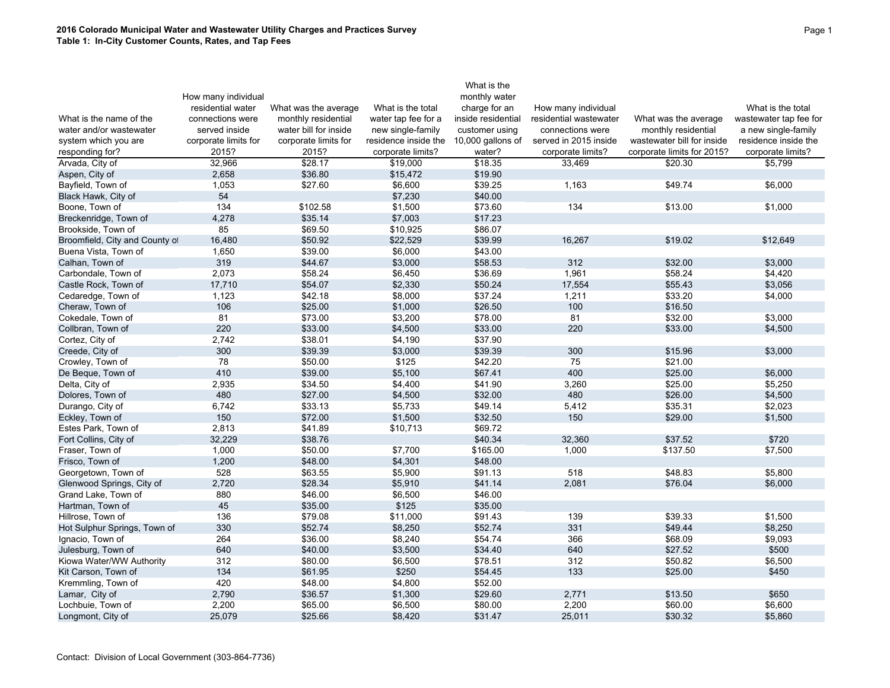|                                |                      |                       |                      | What is the         |                        |                            |                        |
|--------------------------------|----------------------|-----------------------|----------------------|---------------------|------------------------|----------------------------|------------------------|
|                                | How many individual  |                       |                      | monthly water       |                        |                            |                        |
|                                | residential water    | What was the average  | What is the total    | charge for an       | How many individual    |                            | What is the total      |
| What is the name of the        | connections were     | monthly residential   | water tap fee for a  | inside residential  | residential wastewater | What was the average       | wastewater tap fee for |
| water and/or wastewater        | served inside        | water bill for inside | new single-family    | customer using      | connections were       | monthly residential        | a new single-family    |
| system which you are           | corporate limits for | corporate limits for  | residence inside the | $10,000$ gallons of | served in 2015 inside  | wastewater bill for inside | residence inside the   |
| responding for?                | 2015?                | 2015?                 | corporate limits?    | water?              | corporate limits?      | corporate limits for 2015? | corporate limits?      |
| Arvada, City of                | 32,966               | \$28.17               | \$19,000             | \$18.35             | 33,469                 | \$20.30                    | \$5,799                |
| Aspen, City of                 | 2,658                | \$36.80               | \$15,472             | \$19.90             |                        |                            |                        |
| Bayfield, Town of              | 1,053                | \$27.60               | \$6,600              | \$39.25             | 1.163                  | \$49.74                    | \$6,000                |
| Black Hawk, City of            | 54                   |                       | \$7,230              | \$40.00             |                        |                            |                        |
| Boone, Town of                 | 134                  | \$102.58              | \$1,500              | \$73.60             | 134                    | \$13.00                    | \$1,000                |
| Breckenridge, Town of          | 4,278                | \$35.14               | \$7,003              | \$17.23             |                        |                            |                        |
| Brookside, Town of             | 85                   | \$69.50               | \$10,925             | \$86.07             |                        |                            |                        |
| Broomfield, City and County of | 16,480               | \$50.92               | \$22,529             | \$39.99             | 16,267                 | \$19.02                    | \$12,649               |
| Buena Vista, Town of           | 1,650                | \$39.00               | \$6,000              | \$43.00             |                        |                            |                        |
| Calhan, Town of                | 319                  | \$44.67               | \$3,000              | \$58.53             | 312                    | \$32.00                    | \$3,000                |
| Carbondale, Town of            | 2,073                | \$58.24               | \$6,450              | \$36.69             | 1,961                  | \$58.24                    | \$4,420                |
| Castle Rock, Town of           | 17,710               | \$54.07               | \$2,330              | \$50.24             | 17,554                 | \$55.43                    | \$3,056                |
| Cedaredge, Town of             | 1,123                | \$42.18               | \$8,000              | \$37.24             | 1,211                  | \$33.20                    | \$4,000                |
| Cheraw, Town of                | 106                  | \$25.00               | \$1,000              | \$26.50             | 100                    | \$16.50                    |                        |
| Cokedale, Town of              | 81                   | \$73.00               | \$3,200              | \$78.00             | 81                     | \$32.00                    | \$3,000                |
| Collbran, Town of              | 220                  | \$33.00               | \$4,500              | \$33.00             | 220                    | \$33.00                    | \$4,500                |
| Cortez, City of                | 2,742                | \$38.01               | \$4,190              | \$37.90             |                        |                            |                        |
| Creede, City of                | 300                  | \$39.39               | \$3,000              | \$39.39             | 300                    | \$15.96                    | \$3,000                |
| Crowley, Town of               | 78                   | \$50.00               | \$125                | \$42.20             | 75                     | \$21.00                    |                        |
| De Beque, Town of              | 410                  | \$39.00               | \$5,100              | \$67.41             | 400                    | \$25.00                    | \$6,000                |
| Delta, City of                 | 2,935                | \$34.50               | \$4,400              | \$41.90             | 3,260                  | \$25.00                    | \$5,250                |
| Dolores, Town of               | 480                  | \$27.00               | \$4,500              | \$32.00             | 480                    | \$26.00                    | \$4,500                |
| Durango, City of               | 6,742                | \$33.13               | \$5,733              | \$49.14             | 5,412                  | \$35.31                    | \$2,023                |
| Eckley, Town of                | 150                  | \$72.00               | \$1,500              | \$32.50             | 150                    | \$29.00                    | \$1,500                |
| Estes Park, Town of            | 2,813                | \$41.89               | \$10,713             | \$69.72             |                        |                            |                        |
| Fort Collins, City of          | 32,229               | \$38.76               |                      | \$40.34             | 32,360                 | \$37.52                    | \$720                  |
| Fraser, Town of                | 1,000                | \$50.00               | \$7,700              | \$165.00            | 1,000                  | \$137.50                   | \$7,500                |
| Frisco, Town of                | 1,200                | \$48.00               | \$4,301              | \$48.00             |                        |                            |                        |
| Georgetown, Town of            | 528                  | \$63.55               | \$5,900              | \$91.13             | 518                    | \$48.83                    | \$5,800                |
| Glenwood Springs, City of      | 2,720                | \$28.34               | \$5,910              | \$41.14             | 2,081                  | \$76.04                    | \$6,000                |
| Grand Lake, Town of            | 880                  | \$46.00               | \$6,500              | \$46.00             |                        |                            |                        |
| Hartman, Town of               | 45                   | \$35.00               | \$125                | \$35.00             |                        |                            |                        |
| Hillrose, Town of              | 136                  | \$79.08               | \$11,000             | \$91.43             | 139                    | \$39.33                    | \$1,500                |
| Hot Sulphur Springs, Town of   | 330                  | \$52.74               | \$8,250              | \$52.74             | 331                    | \$49.44                    | \$8,250                |
| Ignacio, Town of               | 264                  | \$36.00               | \$8,240              | \$54.74             | 366                    | \$68.09                    | \$9,093                |
| Julesburg, Town of             | 640                  | \$40.00               | \$3,500              | \$34.40             | 640                    | \$27.52                    | \$500                  |
| Kiowa Water/WW Authority       | 312                  | \$80.00               | \$6,500              | \$78.51             | 312                    | \$50.82                    | \$6,500                |
| Kit Carson, Town of            | 134                  | \$61.95               | \$250                | \$54.45             | 133                    | \$25.00                    | \$450                  |
| Kremmling, Town of             | 420                  | \$48.00               | \$4,800              | \$52.00             |                        |                            |                        |
| Lamar, City of                 | 2,790                | \$36.57               | \$1,300              | \$29.60             | 2,771                  | \$13.50                    | \$650                  |
| Lochbuie, Town of              | 2,200                | \$65.00               | \$6,500              | \$80.00             | 2,200                  | \$60.00                    | \$6,600                |
| Longmont, City of              | 25,079               | \$25.66               | \$8,420              | \$31.47             | 25,011                 | \$30.32                    | \$5,860                |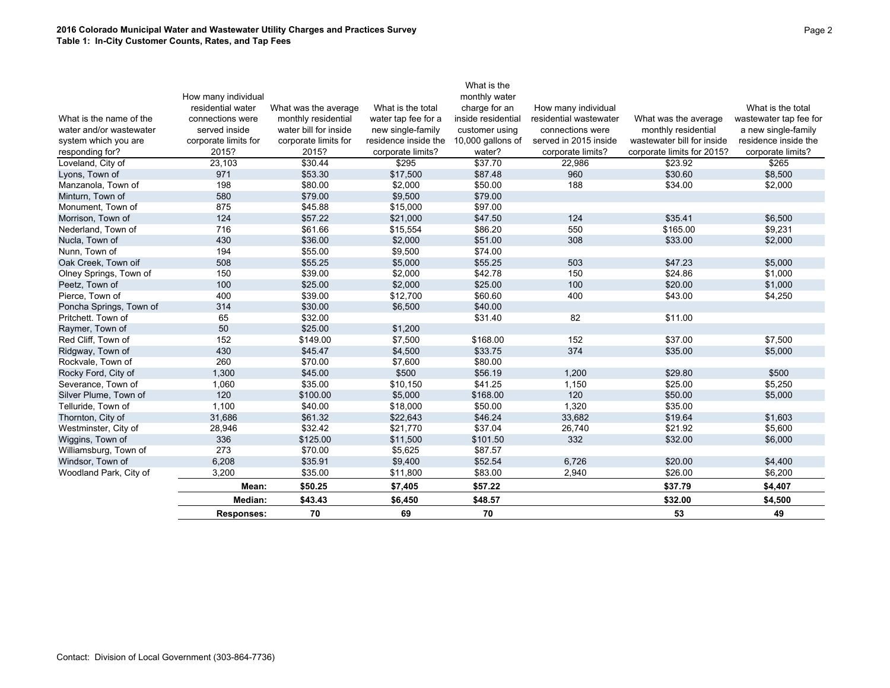### **2016 Colorado Municipal Water and Wastewater Utility Charges and Practices Survey Table 1: In-City Customer Counts, Rates, and Tap Fees**

|                         |                      |                       |                      | What is the        |                        |                            |                        |
|-------------------------|----------------------|-----------------------|----------------------|--------------------|------------------------|----------------------------|------------------------|
|                         | How many individual  |                       |                      | monthly water      |                        |                            |                        |
|                         | residential water    | What was the average  | What is the total    | charge for an      | How many individual    |                            | What is the total      |
| What is the name of the | connections were     | monthly residential   | water tap fee for a  | inside residential | residential wastewater | What was the average       | wastewater tap fee for |
| water and/or wastewater | served inside        | water bill for inside | new single-family    | customer using     | connections were       | monthly residential        | a new single-family    |
| system which you are    | corporate limits for | corporate limits for  | residence inside the | 10,000 gallons of  | served in 2015 inside  | wastewater bill for inside | residence inside the   |
| responding for?         | 2015?                | 2015?                 | corporate limits?    | water?             | corporate limits?      | corporate limits for 2015? | corporate limits?      |
| Loveland, City of       | 23,103               | \$30.44               | \$295                | \$37.70            | 22,986                 | \$23.92                    | \$265                  |
| Lyons, Town of          | 971                  | \$53.30               | \$17,500             | \$87.48            | 960                    | \$30.60                    | \$8,500                |
| Manzanola, Town of      | 198                  | \$80.00               | \$2,000              | \$50.00            | 188                    | \$34.00                    | \$2,000                |
| Minturn, Town of        | 580                  | \$79.00               | \$9,500              | \$79.00            |                        |                            |                        |
| Monument, Town of       | 875                  | \$45.88               | \$15,000             | \$97.00            |                        |                            |                        |
| Morrison, Town of       | 124                  | \$57.22               | \$21,000             | \$47.50            | 124                    | \$35.41                    | \$6,500                |
| Nederland, Town of      | 716                  | \$61.66               | \$15,554             | \$86.20            | 550                    | \$165.00                   | \$9,231                |
| Nucla, Town of          | 430                  | \$36.00               | \$2,000              | \$51.00            | 308                    | \$33.00                    | \$2,000                |
| Nunn, Town of           | 194                  | \$55.00               | \$9,500              | \$74.00            |                        |                            |                        |
| Oak Creek, Town oif     | 508                  | \$55.25               | \$5,000              | \$55.25            | 503                    | \$47.23                    | \$5,000                |
| Olney Springs, Town of  | 150                  | \$39.00               | \$2,000              | \$42.78            | 150                    | \$24.86                    | \$1,000                |
| Peetz, Town of          | 100                  | \$25.00               | \$2,000              | \$25.00            | 100                    | \$20.00                    | \$1,000                |
| Pierce, Town of         | 400                  | \$39.00               | \$12,700             | \$60.60            | 400                    | \$43.00                    | \$4,250                |
| Poncha Springs, Town of | 314                  | \$30.00               | \$6,500              | \$40.00            |                        |                            |                        |
| Pritchett. Town of      | 65                   | \$32.00               |                      | \$31.40            | 82                     | \$11.00                    |                        |
| Raymer, Town of         | 50                   | \$25.00               | \$1,200              |                    |                        |                            |                        |
| Red Cliff, Town of      | 152                  | \$149.00              | \$7,500              | \$168.00           | 152                    | \$37.00                    | \$7,500                |
| Ridgway, Town of        | 430                  | \$45.47               | \$4,500              | \$33.75            | 374                    | \$35.00                    | \$5,000                |
| Rockvale, Town of       | 260                  | \$70.00               | \$7,600              | \$80.00            |                        |                            |                        |
| Rocky Ford, City of     | 1,300                | \$45.00               | \$500                | \$56.19            | 1,200                  | \$29.80                    | \$500                  |
| Severance, Town of      | 1,060                | \$35.00               | \$10,150             | \$41.25            | 1,150                  | \$25.00                    | \$5,250                |
| Silver Plume, Town of   | 120                  | \$100.00              | \$5,000              | \$168.00           | 120                    | \$50.00                    | \$5,000                |
| Telluride, Town of      | 1,100                | \$40.00               | \$18,000             | \$50.00            | 1,320                  | \$35.00                    |                        |
| Thornton, City of       | 31,686               | \$61.32               | \$22,643             | \$46.24            | 33,682                 | \$19.64                    | \$1,603                |
| Westminster, City of    | 28,946               | \$32.42               | \$21,770             | \$37.04            | 26,740                 | \$21.92                    | \$5,600                |
| Wiggins, Town of        | 336                  | \$125.00              | \$11,500             | \$101.50           | 332                    | \$32.00                    | \$6,000                |
| Williamsburg, Town of   | 273                  | \$70.00               | \$5,625              | \$87.57            |                        |                            |                        |
| Windsor, Town of        | 6,208                | \$35.91               | \$9,400              | \$52.54            | 6,726                  | \$20.00                    | \$4,400                |
| Woodland Park, City of  | 3,200                | \$35.00               | \$11,800             | \$83.00            | 2,940                  | \$26.00                    | \$6,200                |
|                         | Mean:                | \$50.25               | \$7,405              | \$57.22            |                        | \$37.79                    | \$4,407                |
|                         | Median:              | \$43.43               | \$6,450              | \$48.57            |                        | \$32.00                    | \$4,500                |
|                         | <b>Responses:</b>    | 70                    | 69                   | 70                 |                        | 53                         | 49                     |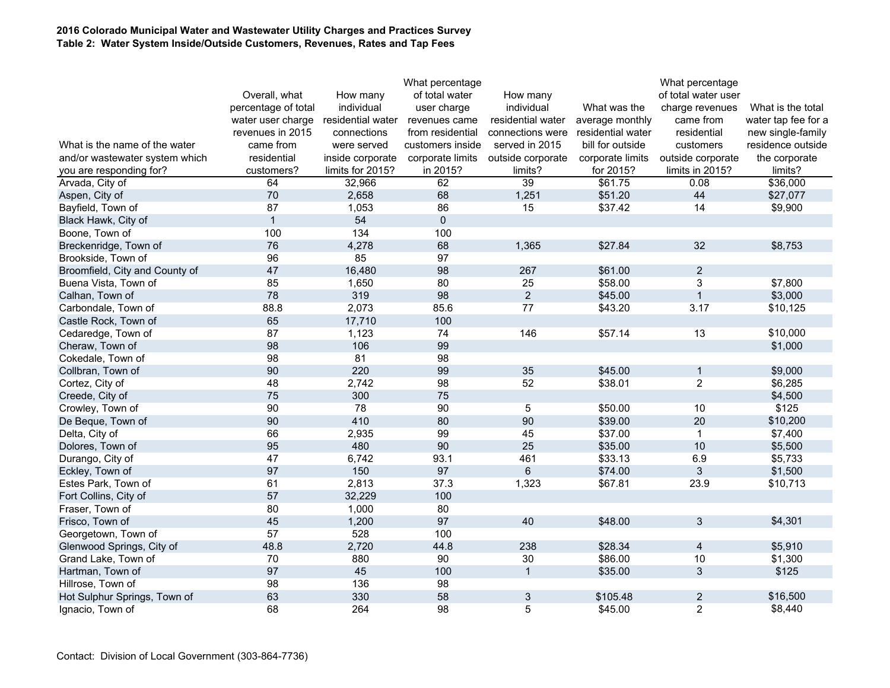### **2016 Colorado Municipal Water and Wastewater Utility Charges and Practices Survey Table 2: Water System Inside/Outside Customers, Revenues, Rates and Tap Fees**

|                                |                     |                   | What percentage  |                   |                   | What percentage     |                     |
|--------------------------------|---------------------|-------------------|------------------|-------------------|-------------------|---------------------|---------------------|
|                                | Overall, what       | How many          | of total water   | How many          |                   | of total water user |                     |
|                                | percentage of total | individual        | user charge      | individual        | What was the      | charge revenues     | What is the total   |
|                                | water user charge   | residential water | revenues came    | residential water | average monthly   | came from           | water tap fee for a |
|                                | revenues in 2015    | connections       | from residential | connections were  | residential water | residential         | new single-family   |
| What is the name of the water  | came from           | were served       | customers inside | served in 2015    | bill for outside  | customers           | residence outside   |
| and/or wastewater system which | residential         | inside corporate  | corporate limits | outside corporate | corporate limits  | outside corporate   | the corporate       |
| you are responding for?        | customers?          | limits for 2015?  | in 2015?         | limits?           | for 2015?         | limits in 2015?     | limits?             |
| Arvada, City of                | 64                  | 32,966            | 62               | 39                | \$61.75           | 0.08                | \$36,000            |
| Aspen, City of                 | 70                  | 2,658             | 68               | 1,251             | \$51.20           | 44                  | \$27,077            |
| Bayfield, Town of              | 87                  | 1,053             | 86               | 15                | \$37.42           | 14                  | \$9,900             |
| Black Hawk, City of            | $\mathbf{1}$        | 54                | $\pmb{0}$        |                   |                   |                     |                     |
| Boone, Town of                 | 100                 | 134               | 100              |                   |                   |                     |                     |
| Breckenridge, Town of          | 76                  | 4,278             | 68               | 1,365             | \$27.84           | 32                  | \$8,753             |
| Brookside, Town of             | 96                  | 85                | 97               |                   |                   |                     |                     |
| Broomfield, City and County of | 47                  | 16,480            | 98               | 267               | \$61.00           | $\overline{2}$      |                     |
| Buena Vista, Town of           | 85                  | 1,650             | 80               | 25                | \$58.00           | 3                   | \$7,800             |
| Calhan, Town of                | 78                  | 319               | 98               | $\overline{2}$    | \$45.00           | $\mathbf{1}$        | \$3,000             |
| Carbondale, Town of            | 88.8                | 2,073             | 85.6             | 77                | \$43.20           | 3.17                | \$10,125            |
| Castle Rock, Town of           | 65                  | 17,710            | 100              |                   |                   |                     |                     |
| Cedaredge, Town of             | 87                  | 1,123             | 74               | 146               | \$57.14           | 13                  | \$10,000            |
| Cheraw, Town of                | 98                  | 106               | 99               |                   |                   |                     | \$1,000             |
| Cokedale, Town of              | 98                  | 81                | 98               |                   |                   |                     |                     |
| Collbran, Town of              | 90                  | 220               | 99               | 35                | \$45.00           | $\mathbf{1}$        | \$9,000             |
| Cortez, City of                | 48                  | 2,742             | 98               | 52                | \$38.01           | $\overline{2}$      | \$6,285             |
| Creede, City of                | 75                  | 300               | 75               |                   |                   |                     | \$4,500             |
| Crowley, Town of               | 90                  | 78                | 90               | 5                 | \$50.00           | 10                  | \$125               |
| De Beque, Town of              | 90                  | 410               | 80               | 90                | \$39.00           | 20                  | \$10,200            |
| Delta, City of                 | 66                  | 2,935             | 99               | 45                | \$37.00           | $\mathbf{1}$        | \$7,400             |
| Dolores, Town of               | 95                  | 480               | 90               | 25                | \$35.00           | 10                  | \$5,500             |
| Durango, City of               | 47                  | 6,742             | 93.1             | 461               | \$33.13           | 6.9                 | \$5,733             |
| Eckley, Town of                | 97                  | 150               | 97               | $6\phantom{1}$    | \$74.00           | 3                   | \$1,500             |
| Estes Park, Town of            | 61                  | 2,813             | 37.3             | 1,323             | \$67.81           | 23.9                | \$10,713            |
| Fort Collins, City of          | 57                  | 32,229            | 100              |                   |                   |                     |                     |
| Fraser, Town of                | 80                  | 1,000             | 80               |                   |                   |                     |                     |
| Frisco, Town of                | 45                  | 1,200             | 97               | 40                | \$48.00           | 3                   | \$4,301             |
| Georgetown, Town of            | 57                  | 528               | 100              |                   |                   |                     |                     |
| Glenwood Springs, City of      | 48.8                | 2,720             | 44.8             | 238               | \$28.34           | $\overline{4}$      | \$5,910             |
| Grand Lake, Town of            | 70                  | 880               | 90               | 30                | \$86.00           | 10                  | \$1,300             |
| Hartman, Town of               | 97                  | 45                | 100              | $\mathbf{1}$      | \$35.00           | 3                   | \$125               |
| Hillrose, Town of              | 98                  | 136               | 98               |                   |                   |                     |                     |
| Hot Sulphur Springs, Town of   | 63                  | 330               | 58               | $\mathfrak{S}$    | \$105.48          | $\overline{2}$      | \$16,500            |
| Ignacio, Town of               | 68                  | 264               | 98               | 5                 | \$45.00           | $\overline{2}$      | \$8,440             |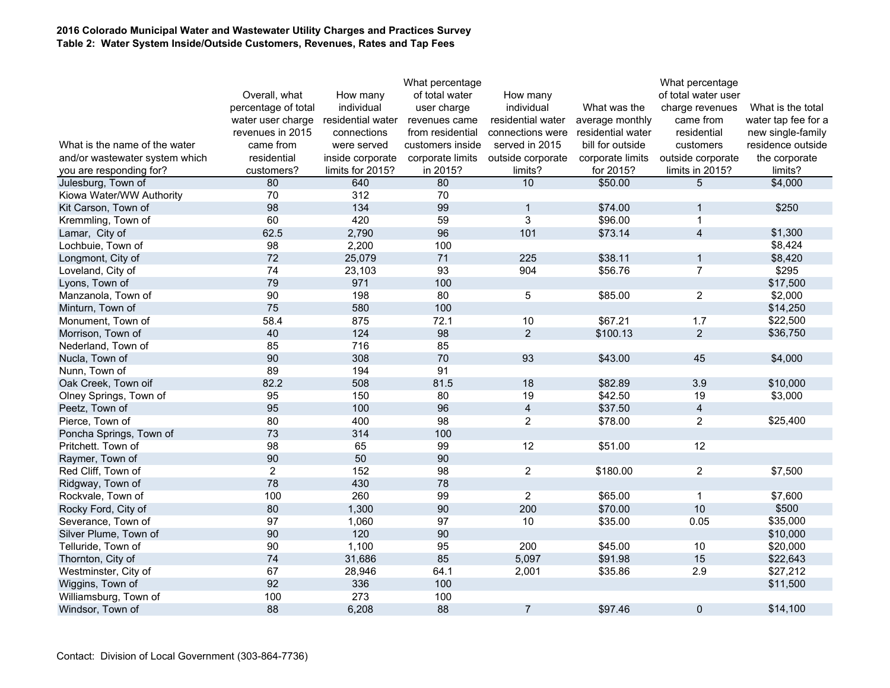### **2016 Colorado Municipal Water and Wastewater Utility Charges and Practices Survey Table 2: Water System Inside/Outside Customers, Revenues, Rates and Tap Fees**

|                                |                     |                   | What percentage  |                         |                   | What percentage     |                     |
|--------------------------------|---------------------|-------------------|------------------|-------------------------|-------------------|---------------------|---------------------|
|                                | Overall, what       | How many          | of total water   | How many                |                   | of total water user |                     |
|                                | percentage of total | individual        | user charge      | individual              | What was the      | charge revenues     | What is the total   |
|                                | water user charge   | residential water | revenues came    | residential water       | average monthly   | came from           | water tap fee for a |
|                                | revenues in 2015    | connections       | from residential | connections were        | residential water | residential         | new single-family   |
| What is the name of the water  | came from           | were served       | customers inside | served in 2015          | bill for outside  | customers           | residence outside   |
| and/or wastewater system which | residential         | inside corporate  | corporate limits | outside corporate       | corporate limits  | outside corporate   | the corporate       |
| you are responding for?        | customers?          | limits for 2015?  | in 2015?         | limits?                 | for 2015?         | limits in 2015?     | limits?             |
| Julesburg, Town of             | 80                  | 640               | 80               | 10                      | \$50.00           | 5                   | \$4,000             |
| Kiowa Water/WW Authority       | 70                  | 312               | 70               |                         |                   |                     |                     |
| Kit Carson, Town of            | 98                  | 134               | 99               | $\mathbf{1}$            | \$74.00           | 1                   | \$250               |
| Kremmling, Town of             | 60                  | 420               | 59               | $\overline{3}$          | \$96.00           | $\mathbf{1}$        |                     |
| Lamar, City of                 | 62.5                | 2,790             | 96               | 101                     | \$73.14           | $\overline{4}$      | \$1,300             |
| Lochbuie, Town of              | 98                  | 2,200             | 100              |                         |                   |                     | \$8,424             |
| Longmont, City of              | 72                  | 25,079            | 71               | 225                     | \$38.11           | $\mathbf{1}$        | \$8,420             |
| Loveland, City of              | 74                  | 23,103            | 93               | 904                     | \$56.76           | $\overline{7}$      | \$295               |
| Lyons, Town of                 | 79                  | 971               | 100              |                         |                   |                     | \$17,500            |
| Manzanola, Town of             | 90                  | 198               | 80               | $\overline{5}$          | \$85.00           | $\overline{2}$      | \$2,000             |
| Minturn, Town of               | 75                  | 580               | 100              |                         |                   |                     | \$14,250            |
| Monument, Town of              | 58.4                | 875               | 72.1             | 10                      | \$67.21           | 1.7                 | \$22,500            |
| Morrison, Town of              | 40                  | 124               | 98               | $\overline{2}$          | \$100.13          | $\overline{2}$      | \$36,750            |
| Nederland, Town of             | 85                  | 716               | 85               |                         |                   |                     |                     |
| Nucla, Town of                 | 90                  | 308               | 70               | 93                      | \$43.00           | 45                  | \$4,000             |
| Nunn, Town of                  | 89                  | 194               | 91               |                         |                   |                     |                     |
| Oak Creek, Town oif            | 82.2                | 508               | 81.5             | 18                      | \$82.89           | 3.9                 | \$10,000            |
| Olney Springs, Town of         | 95                  | 150               | 80               | 19                      | \$42.50           | 19                  | \$3,000             |
| Peetz, Town of                 | 95                  | 100               | 96               | $\overline{\mathbf{4}}$ | \$37.50           | $\overline{4}$      |                     |
| Pierce, Town of                | 80                  | 400               | 98               | $\overline{c}$          | \$78.00           | $\overline{2}$      | \$25,400            |
| Poncha Springs, Town of        | 73                  | 314               | 100              |                         |                   |                     |                     |
| Pritchett. Town of             | 98                  | 65                | 99               | 12                      | \$51.00           | 12                  |                     |
| Raymer, Town of                | 90                  | 50                | 90               |                         |                   |                     |                     |
| Red Cliff, Town of             | $\overline{2}$      | 152               | 98               | $\overline{2}$          | \$180.00          | $\overline{2}$      | \$7,500             |
| Ridgway, Town of               | 78                  | 430               | 78               |                         |                   |                     |                     |
| Rockvale, Town of              | 100                 | 260               | 99               | $\overline{2}$          | \$65.00           | $\mathbf{1}$        | \$7,600             |
| Rocky Ford, City of            | 80                  | 1,300             | 90               | 200                     | \$70.00           | 10                  | \$500               |
| Severance, Town of             | 97                  | 1,060             | 97               | 10                      | \$35.00           | 0.05                | \$35,000            |
| Silver Plume, Town of          | 90                  | 120               | 90               |                         |                   |                     | \$10,000            |
| Telluride, Town of             | 90                  | 1,100             | 95               | 200                     | \$45.00           | 10                  | \$20,000            |
| Thornton, City of              | 74                  | 31,686            | 85               | 5,097                   | \$91.98           | 15                  | \$22,643            |
| Westminster, City of           | 67                  | 28,946            | 64.1             | 2,001                   | \$35.86           | 2.9                 | \$27,212            |
| Wiggins, Town of               | 92                  | 336               | 100              |                         |                   |                     | \$11,500            |
| Williamsburg, Town of          | 100                 | 273               | 100              |                         |                   |                     |                     |
| Windsor, Town of               | 88                  | 6,208             | 88               | $\overline{7}$          | \$97.46           | $\mathbf{0}$        | \$14,100            |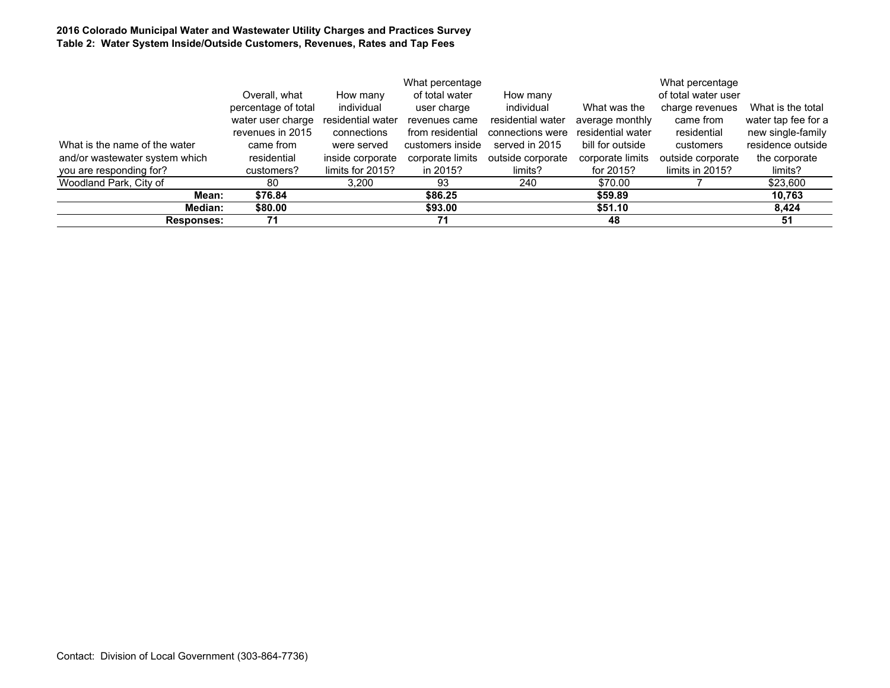### **2016 Colorado Municipal Water and Wastewater Utility Charges and Practices Survey Table 2: Water System Inside/Outside Customers, Revenues, Rates and Tap Fees**

|                                |                     | What percentage   |                  |                   |                   | What percentage     |                     |
|--------------------------------|---------------------|-------------------|------------------|-------------------|-------------------|---------------------|---------------------|
|                                | Overall, what       | How many          | of total water   | How many          |                   | of total water user |                     |
|                                | percentage of total | individual        | user charge      | individual        | What was the      | charge revenues     | What is the total   |
|                                | water user charge   | residential water | revenues came    | residential water | average monthly   | came from           | water tap fee for a |
|                                | revenues in 2015    | connections       | from residential | connections were  | residential water | residential         | new single-family   |
| What is the name of the water  | came from           | were served       | customers inside | served in 2015    | bill for outside  | customers           | residence outside   |
| and/or wastewater system which | residential         | inside corporate  | corporate limits | outside corporate | corporate limits  | outside corporate   | the corporate       |
| you are responding for?        | customers?          | limits for 2015?  | in 2015?         | limits?           | for 2015?         | limits in $2015$ ?  | limits?             |
| Woodland Park, City of         | 80                  | 3,200             | 93               | 240               | \$70.00           |                     | \$23,600            |
| Mean:                          | \$76.84             |                   | \$86.25          |                   | \$59.89           |                     | 10,763              |
| <b>Median:</b>                 | \$80.00             |                   | \$93.00          |                   | \$51.10           |                     | 8.424               |
| <b>Responses:</b>              | 71                  |                   | 71               |                   | 48                |                     | 51                  |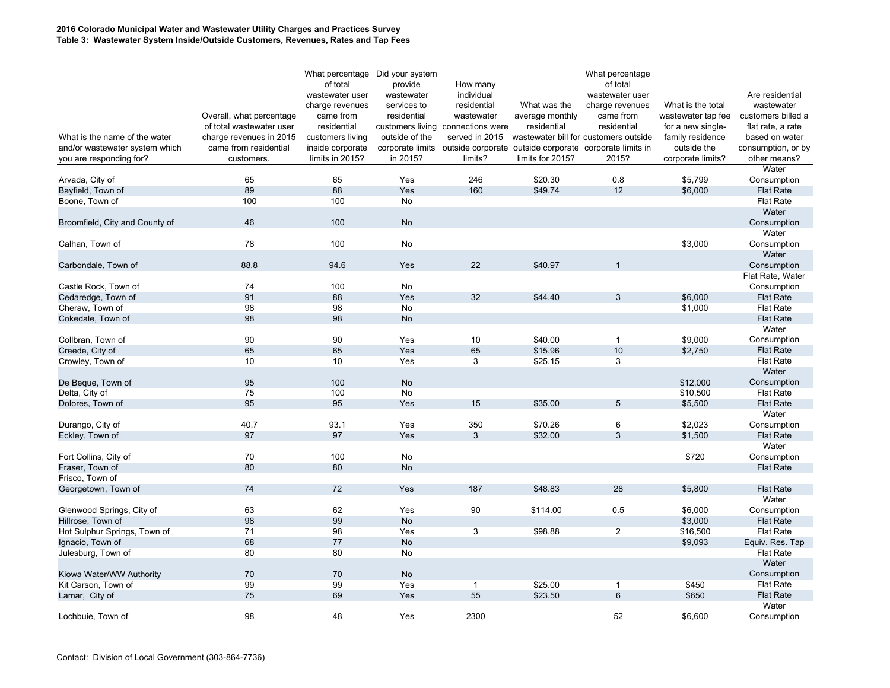### **2016 Colorado Municipal Water and Wastewater Utility Charges and Practices Survey Table 3: Wastewater System Inside/Outside Customers, Revenues, Rates and Tap Fees**

| What percentage Did your system<br>of total<br>provide                                          | How many          |                  | What percentage<br>of total           |                    |                    |
|-------------------------------------------------------------------------------------------------|-------------------|------------------|---------------------------------------|--------------------|--------------------|
| wastewater user<br>wastewater                                                                   | individual        |                  | wastewater user                       |                    | Are residential    |
| services to<br>charge revenues                                                                  | residential       | What was the     | charge revenues                       | What is the total  | wastewater         |
| Overall, what percentage<br>came from<br>residential                                            | wastewater        | average monthly  | came from                             | wastewater tap fee | customers billed a |
| residential<br>of total wastewater user<br>customers living                                     | connections were  | residential      | residential                           | for a new single-  | flat rate, a rate  |
| What is the name of the water<br>outside of the<br>charge revenues in 2015<br>customers living  | served in 2015    |                  | wastewater bill for customers outside | family residence   | based on water     |
| and/or wastewater system which<br>came from residential<br>inside corporate<br>corporate limits | outside corporate |                  | outside corporate corporate limits in | outside the        | consumption, or by |
| in 2015?<br>you are responding for?<br>customers.<br>limits in 2015?                            | limits?           | limits for 2015? | 2015?                                 | corporate limits?  | other means?       |
|                                                                                                 |                   |                  |                                       |                    | Water              |
| 65<br>Arvada, City of<br>65<br>Yes                                                              | 246               | \$20.30          | 0.8                                   | \$5,799            | Consumption        |
| 89<br>88<br>Yes<br>Bayfield, Town of                                                            | 160               | \$49.74          | 12                                    | \$6,000            | <b>Flat Rate</b>   |
| 100<br>100<br>No<br>Boone, Town of                                                              |                   |                  |                                       |                    | <b>Flat Rate</b>   |
|                                                                                                 |                   |                  |                                       |                    | Water              |
| 46<br>100<br><b>No</b><br>Broomfield, City and County of                                        |                   |                  |                                       |                    | Consumption        |
|                                                                                                 |                   |                  |                                       |                    | Water              |
| 78<br>100<br>No<br>Calhan, Town of                                                              |                   |                  |                                       | \$3,000            | Consumption        |
|                                                                                                 |                   |                  |                                       |                    | Water              |
| Carbondale, Town of<br>88.8<br>94.6<br>Yes                                                      | 22                | \$40.97          | $\overline{1}$                        |                    | Consumption        |
|                                                                                                 |                   |                  |                                       |                    | Flat Rate, Water   |
| <b>No</b><br>Castle Rock, Town of<br>74<br>100                                                  |                   |                  |                                       |                    | Consumption        |
| 91<br>88<br>Cedaredge, Town of<br>Yes                                                           | 32                | \$44.40          | 3                                     | \$6,000            | <b>Flat Rate</b>   |
| 98<br>98<br>Cheraw, Town of<br>No                                                               |                   |                  |                                       | \$1,000            | <b>Flat Rate</b>   |
| 98<br>98<br>Cokedale, Town of<br>No                                                             |                   |                  |                                       |                    | <b>Flat Rate</b>   |
|                                                                                                 |                   |                  |                                       |                    | Water              |
| Collbran, Town of<br>90<br>90<br>Yes                                                            | 10                | \$40.00          | $\overline{1}$                        | \$9,000            | Consumption        |
| 65<br>65<br>Yes<br>Creede, City of                                                              | 65                | \$15.96          | 10                                    | \$2,750            | <b>Flat Rate</b>   |
| 10<br>10<br>Crowley, Town of<br>Yes                                                             | 3                 | \$25.15          | 3                                     |                    | <b>Flat Rate</b>   |
|                                                                                                 |                   |                  |                                       |                    | Water              |
| 95<br>100<br>De Beque, Town of<br>No                                                            |                   |                  |                                       | \$12,000           | Consumption        |
| 75<br>Delta, City of<br>100<br>No                                                               |                   |                  |                                       | \$10,500           | <b>Flat Rate</b>   |
| 95<br>95<br>Dolores, Town of<br>Yes                                                             | 15                | \$35.00          | $\overline{5}$                        | \$5,500            | <b>Flat Rate</b>   |
|                                                                                                 |                   |                  |                                       |                    | Water              |
| 40.7<br>93.1<br>Yes<br>Durango, City of                                                         | 350               | \$70.26          | 6                                     | \$2,023            | Consumption        |
| 97<br>97<br>Eckley, Town of<br>Yes                                                              | 3                 | \$32.00          | 3                                     | \$1,500            | <b>Flat Rate</b>   |
|                                                                                                 |                   |                  |                                       |                    | Water              |
| Fort Collins, City of<br>70<br>100<br>No                                                        |                   |                  |                                       | \$720              | Consumption        |
| 80<br>80<br>No<br>Fraser, Town of                                                               |                   |                  |                                       |                    | <b>Flat Rate</b>   |
| Frisco, Town of                                                                                 |                   |                  |                                       |                    |                    |
| 74<br>72<br>Georgetown, Town of<br>Yes                                                          | 187               | \$48.83          | 28                                    | \$5,800            | <b>Flat Rate</b>   |
|                                                                                                 |                   |                  |                                       |                    | Water              |
| 62<br>63<br>Yes<br>Glenwood Springs, City of                                                    | 90                | \$114.00         | 0.5                                   | \$6,000            | Consumption        |
| 99<br>98<br>No<br>Hillrose, Town of                                                             |                   |                  |                                       | \$3,000            | <b>Flat Rate</b>   |
| 71<br>98<br>Hot Sulphur Springs, Town of<br>Yes                                                 | 3                 | \$98.88          | $\overline{2}$                        | \$16,500           | <b>Flat Rate</b>   |
| 77<br>68<br>Ignacio, Town of<br>No                                                              |                   |                  |                                       | \$9,093            | Equiv. Res. Tap    |
| 80<br>80<br>Julesburg, Town of<br>No                                                            |                   |                  |                                       |                    | <b>Flat Rate</b>   |
|                                                                                                 |                   |                  |                                       |                    | Water              |
| 70<br>70<br><b>No</b><br>Kiowa Water/WW Authority                                               |                   |                  |                                       |                    | Consumption        |
| 99<br>99<br>Yes<br>Kit Carson, Town of                                                          | $\mathbf{1}$      | \$25.00          | $\overline{1}$                        | \$450              | <b>Flat Rate</b>   |
| 75<br>69<br>Yes<br>Lamar, City of                                                               | 55                | \$23.50          | $6\phantom{1}$                        | \$650              | <b>Flat Rate</b>   |
|                                                                                                 |                   |                  |                                       |                    |                    |
|                                                                                                 |                   |                  |                                       |                    | Water              |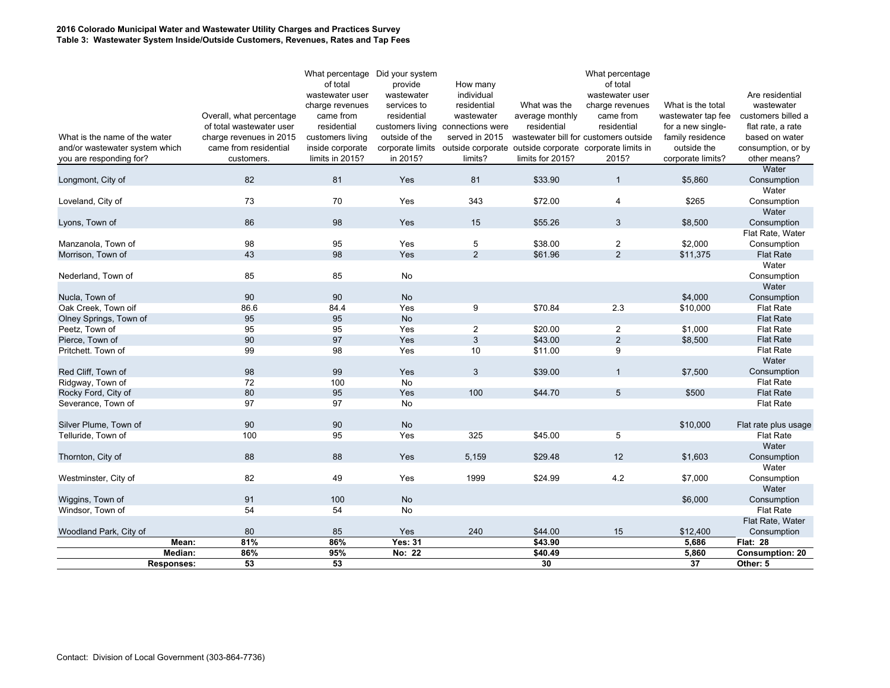### **2016 Colorado Municipal Water and Wastewater Utility Charges and Practices Survey Table 3: Wastewater System Inside/Outside Customers, Revenues, Rates and Tap Fees**

|                                         |                   |                          | What percentage Did your system<br>of total | provide        |                                   |                                                                          | What percentage<br>of total           |                    |                                      |
|-----------------------------------------|-------------------|--------------------------|---------------------------------------------|----------------|-----------------------------------|--------------------------------------------------------------------------|---------------------------------------|--------------------|--------------------------------------|
|                                         |                   |                          | wastewater user                             | wastewater     | How many<br>individual            |                                                                          | wastewater user                       |                    | Are residential                      |
|                                         |                   |                          | charge revenues                             | services to    | residential                       | What was the                                                             | charge revenues                       | What is the total  | wastewater                           |
|                                         |                   | Overall, what percentage | came from                                   | residential    | wastewater                        | average monthly                                                          | came from                             | wastewater tap fee | customers billed a                   |
|                                         |                   | of total wastewater user | residential                                 |                | customers living connections were | residential                                                              | residential                           | for a new single-  | flat rate, a rate                    |
| What is the name of the water           |                   | charge revenues in 2015  | customers living                            | outside of the | served in 2015                    |                                                                          | wastewater bill for customers outside | family residence   | based on water                       |
| and/or wastewater system which          |                   | came from residential    | inside corporate                            |                |                                   | corporate limits outside corporate outside corporate corporate limits in |                                       | outside the        | consumption, or by                   |
| you are responding for?                 |                   | customers.               | limits in 2015?                             | in 2015?       | limits?                           | limits for 2015?                                                         | 2015?                                 | corporate limits?  | other means?                         |
|                                         |                   |                          |                                             |                |                                   |                                                                          |                                       |                    | Water                                |
| Longmont, City of                       |                   | 82                       | 81                                          | Yes            | 81                                | \$33.90                                                                  | $\mathbf{1}$                          | \$5,860            | Consumption<br>Water                 |
| Loveland, City of                       |                   | 73                       | 70                                          | Yes            | 343                               | \$72.00                                                                  | $\overline{4}$                        | \$265              | Consumption                          |
|                                         |                   |                          |                                             |                |                                   |                                                                          |                                       |                    | Water                                |
| Lyons, Town of                          |                   | 86                       | 98                                          | Yes            | 15                                | \$55.26                                                                  | 3                                     | \$8,500            | Consumption                          |
|                                         |                   |                          |                                             |                |                                   |                                                                          |                                       |                    | Flat Rate, Water                     |
| Manzanola, Town of                      |                   | 98                       | 95                                          | Yes            | 5                                 | \$38.00                                                                  | $\overline{2}$                        | \$2,000            | Consumption                          |
| Morrison, Town of                       |                   | 43                       | 98                                          | Yes            | $\overline{2}$                    | \$61.96                                                                  | 2                                     | \$11,375           | <b>Flat Rate</b>                     |
|                                         |                   | 85                       | 85                                          | No             |                                   |                                                                          |                                       |                    | Water                                |
| Nederland, Town of                      |                   |                          |                                             |                |                                   |                                                                          |                                       |                    | Consumption<br>Water                 |
| Nucla, Town of                          |                   | 90                       | 90                                          | No             |                                   |                                                                          |                                       | \$4,000            | Consumption                          |
| Oak Creek, Town oif                     |                   | 86.6                     | 84.4                                        | Yes            | 9                                 | \$70.84                                                                  | 2.3                                   | \$10,000           | <b>Flat Rate</b>                     |
| Olney Springs, Town of                  |                   | 95                       | 95                                          | <b>No</b>      |                                   |                                                                          |                                       |                    | <b>Flat Rate</b>                     |
| Peetz, Town of                          |                   | 95                       | 95                                          | Yes            | $\overline{2}$                    | \$20.00                                                                  | $\overline{2}$                        | \$1,000            | <b>Flat Rate</b>                     |
| Pierce, Town of                         |                   | 90                       | 97                                          | Yes            | 3                                 | \$43.00                                                                  | $\overline{2}$                        | \$8,500            | <b>Flat Rate</b>                     |
| Pritchett. Town of                      |                   | 99                       | 98                                          | Yes            | 10                                | \$11.00                                                                  | 9                                     |                    | <b>Flat Rate</b>                     |
|                                         |                   |                          |                                             |                |                                   |                                                                          |                                       |                    | Water                                |
| Red Cliff, Town of                      |                   | 98                       | 99                                          | Yes            | 3                                 | \$39.00                                                                  | $\mathbf{1}$                          | \$7,500            | Consumption                          |
| Ridgway, Town of<br>Rocky Ford, City of |                   | 72<br>80                 | 100<br>95                                   | No<br>Yes      | 100                               | \$44.70                                                                  | $5\phantom{.0}$                       | \$500              | <b>Flat Rate</b><br><b>Flat Rate</b> |
| Severance, Town of                      |                   | 97                       | 97                                          | No             |                                   |                                                                          |                                       |                    | <b>Flat Rate</b>                     |
|                                         |                   |                          |                                             |                |                                   |                                                                          |                                       |                    |                                      |
| Silver Plume, Town of                   |                   | 90                       | 90                                          | No             |                                   |                                                                          |                                       | \$10,000           | Flat rate plus usage                 |
| Telluride, Town of                      |                   | 100                      | 95                                          | Yes            | 325                               | \$45.00                                                                  | 5                                     |                    | <b>Flat Rate</b>                     |
|                                         |                   |                          |                                             |                |                                   |                                                                          |                                       |                    | Water                                |
| Thornton, City of                       |                   | 88                       | 88                                          | Yes            | 5,159                             | \$29.48                                                                  | 12                                    | \$1,603            | Consumption                          |
|                                         |                   |                          |                                             |                |                                   |                                                                          |                                       |                    | Water                                |
| Westminster, City of                    |                   | 82                       | 49                                          | Yes            | 1999                              | \$24.99                                                                  | 4.2                                   | \$7,000            | Consumption                          |
|                                         |                   | 91                       | 100                                         | No             |                                   |                                                                          |                                       | \$6,000            | Water                                |
| Wiggins, Town of<br>Windsor, Town of    |                   | 54                       | 54                                          | No             |                                   |                                                                          |                                       |                    | Consumption<br><b>Flat Rate</b>      |
|                                         |                   |                          |                                             |                |                                   |                                                                          |                                       |                    | Flat Rate, Water                     |
| Woodland Park, City of                  |                   | 80                       | 85                                          | Yes            | 240                               | \$44.00                                                                  | 15                                    | \$12,400           | Consumption                          |
|                                         | Mean:             | 81%                      | 86%                                         | <b>Yes: 31</b> |                                   | \$43.90                                                                  |                                       | 5,686              | <b>Flat: 28</b>                      |
|                                         | Median:           | 86%                      | 95%                                         | No: 22         |                                   | \$40.49                                                                  |                                       | 5,860              | <b>Consumption: 20</b>               |
|                                         | <b>Responses:</b> | 53                       | 53                                          |                |                                   | 30                                                                       |                                       | 37                 | Other: 5                             |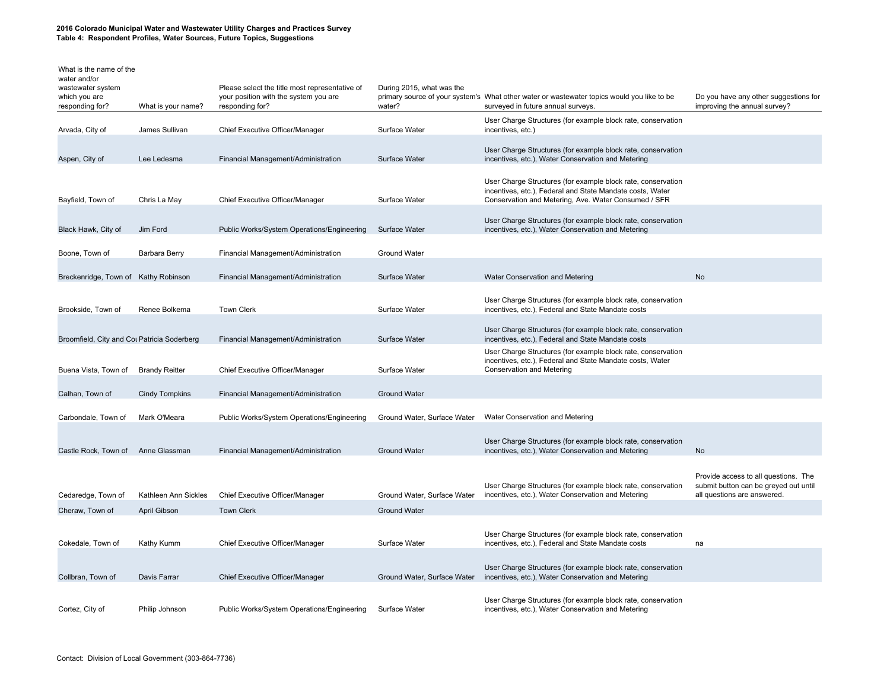| What is the name of the<br>water and/or<br>wastewater system<br>which you are<br>responding for? | What is your name?    | Please select the title most representative of<br>your position with the system you are<br>responding for? | During 2015, what was the<br>water? | primary source of your system's What other water or wastewater topics would you like to be<br>surveyed in future annual surveys.                                                  | Do you have any other suggestions for<br>improving the annual survey?                                        |
|--------------------------------------------------------------------------------------------------|-----------------------|------------------------------------------------------------------------------------------------------------|-------------------------------------|-----------------------------------------------------------------------------------------------------------------------------------------------------------------------------------|--------------------------------------------------------------------------------------------------------------|
| Arvada, City of                                                                                  | James Sullivan        | Chief Executive Officer/Manager                                                                            | Surface Water                       | User Charge Structures (for example block rate, conservation<br>incentives, etc.)                                                                                                 |                                                                                                              |
| Aspen, City of                                                                                   | Lee Ledesma           | Financial Management/Administration                                                                        | Surface Water                       | User Charge Structures (for example block rate, conservation<br>incentives, etc.), Water Conservation and Metering                                                                |                                                                                                              |
| Bayfield, Town of                                                                                | Chris La May          | Chief Executive Officer/Manager                                                                            | Surface Water                       | User Charge Structures (for example block rate, conservation<br>incentives, etc.), Federal and State Mandate costs, Water<br>Conservation and Metering, Ave. Water Consumed / SFR |                                                                                                              |
| Black Hawk, City of                                                                              | Jim Ford              | Public Works/System Operations/Engineering                                                                 | Surface Water                       | User Charge Structures (for example block rate, conservation<br>incentives, etc.), Water Conservation and Metering                                                                |                                                                                                              |
| Boone, Town of                                                                                   | Barbara Berry         | Financial Management/Administration                                                                        | <b>Ground Water</b>                 |                                                                                                                                                                                   |                                                                                                              |
| Breckenridge, Town of Kathy Robinson                                                             |                       | Financial Management/Administration                                                                        | Surface Water                       | Water Conservation and Metering                                                                                                                                                   | No                                                                                                           |
| Brookside, Town of                                                                               | Renee Bolkema         | <b>Town Clerk</b>                                                                                          | Surface Water                       | User Charge Structures (for example block rate, conservation<br>incentives, etc.), Federal and State Mandate costs                                                                |                                                                                                              |
| Broomfield, City and Cot Patricia Soderberg                                                      |                       | Financial Management/Administration                                                                        | Surface Water                       | User Charge Structures (for example block rate, conservation<br>incentives, etc.), Federal and State Mandate costs                                                                |                                                                                                              |
|                                                                                                  |                       |                                                                                                            |                                     | User Charge Structures (for example block rate, conservation<br>incentives, etc.), Federal and State Mandate costs, Water                                                         |                                                                                                              |
| Buena Vista, Town of                                                                             | <b>Brandy Reitter</b> | Chief Executive Officer/Manager                                                                            | Surface Water                       | Conservation and Metering                                                                                                                                                         |                                                                                                              |
| Calhan, Town of                                                                                  | <b>Cindy Tompkins</b> | Financial Management/Administration                                                                        | <b>Ground Water</b>                 |                                                                                                                                                                                   |                                                                                                              |
| Carbondale, Town of                                                                              | Mark O'Meara          | Public Works/System Operations/Engineering                                                                 | Ground Water, Surface Water         | Water Conservation and Metering                                                                                                                                                   |                                                                                                              |
| Castle Rock, Town of Anne Glassman                                                               |                       | Financial Management/Administration                                                                        | <b>Ground Water</b>                 | User Charge Structures (for example block rate, conservation<br>incentives, etc.), Water Conservation and Metering                                                                | No                                                                                                           |
| Cedaredge, Town of                                                                               | Kathleen Ann Sickles  | Chief Executive Officer/Manager                                                                            | Ground Water, Surface Water         | User Charge Structures (for example block rate, conservation<br>incentives, etc.), Water Conservation and Metering                                                                | Provide access to all questions. The<br>submit button can be greyed out until<br>all questions are answered. |
| Cheraw, Town of                                                                                  | April Gibson          | <b>Town Clerk</b>                                                                                          | <b>Ground Water</b>                 |                                                                                                                                                                                   |                                                                                                              |
| Cokedale, Town of                                                                                | Kathy Kumm            | Chief Executive Officer/Manager                                                                            | Surface Water                       | User Charge Structures (for example block rate, conservation<br>incentives, etc.), Federal and State Mandate costs                                                                | na                                                                                                           |
| Collbran, Town of                                                                                | Davis Farrar          | Chief Executive Officer/Manager                                                                            | Ground Water, Surface Water         | User Charge Structures (for example block rate, conservation<br>incentives, etc.), Water Conservation and Metering                                                                |                                                                                                              |
| Cortez, City of                                                                                  | Philip Johnson        | Public Works/System Operations/Engineering                                                                 | Surface Water                       | User Charge Structures (for example block rate, conservation<br>incentives, etc.), Water Conservation and Metering                                                                |                                                                                                              |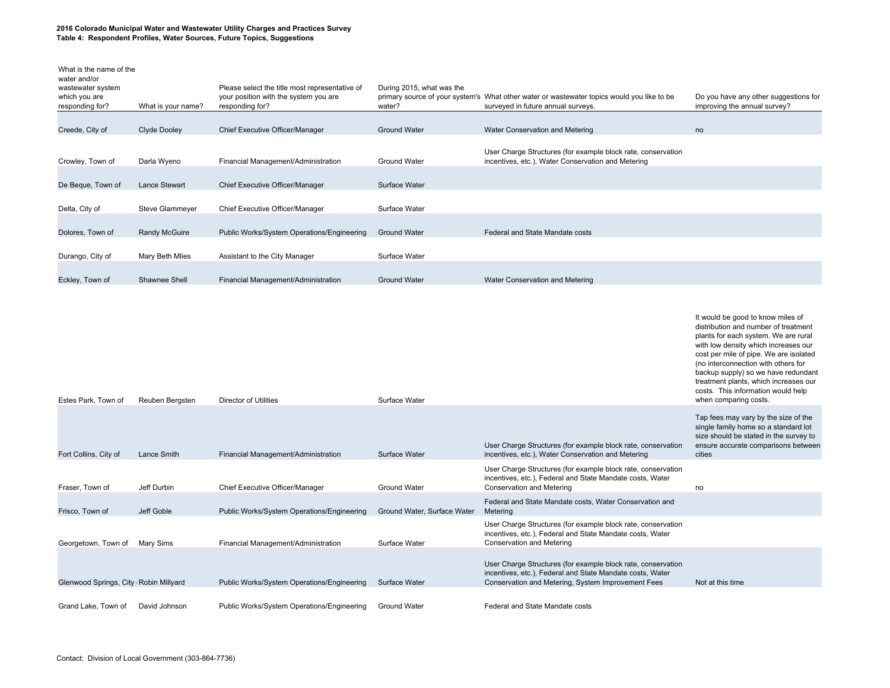| What is the name of the<br>water and/or<br>wastewater system<br>which you are<br>responding for? | What is your name?   | Please select the title most representative of<br>your position with the system you are<br>responding for? | During 2015, what was the<br>water? | primary source of your system's What other water or wastewater topics would you like to be<br>surveyed in future annual surveys. | Do you have any other suggestions for<br>improving the annual survey? |
|--------------------------------------------------------------------------------------------------|----------------------|------------------------------------------------------------------------------------------------------------|-------------------------------------|----------------------------------------------------------------------------------------------------------------------------------|-----------------------------------------------------------------------|
|                                                                                                  |                      |                                                                                                            |                                     |                                                                                                                                  |                                                                       |
| Creede, City of                                                                                  | Clyde Dooley         | Chief Executive Officer/Manager                                                                            | <b>Ground Water</b>                 | Water Conservation and Metering                                                                                                  | no                                                                    |
| Crowley, Town of                                                                                 | Darla Wyeno          | Financial Management/Administration                                                                        | <b>Ground Water</b>                 | User Charge Structures (for example block rate, conservation<br>incentives, etc.), Water Conservation and Metering               |                                                                       |
| De Beque, Town of                                                                                | <b>Lance Stewart</b> | Chief Executive Officer/Manager                                                                            | Surface Water                       |                                                                                                                                  |                                                                       |
| Delta, City of                                                                                   | Steve Glammeyer      | Chief Executive Officer/Manager                                                                            | Surface Water                       |                                                                                                                                  |                                                                       |
| Dolores, Town of                                                                                 | Randy McGuire        | Public Works/System Operations/Engineering                                                                 | <b>Ground Water</b>                 | Federal and State Mandate costs                                                                                                  |                                                                       |
| Durango, City of                                                                                 | Mary Beth Mlies      | Assistant to the City Manager                                                                              | Surface Water                       |                                                                                                                                  |                                                                       |
| Eckley, Town of                                                                                  | Shawnee Shell        | Financial Management/Administration                                                                        | <b>Ground Water</b>                 | Water Conservation and Metering                                                                                                  |                                                                       |

| Estes Park, Town of                    | Reuben Bergsten | Director of Utilities                      | Surface Water               |                                                                                                                                                                                 | It would be good to know miles of<br>distribution and number of treatment<br>plants for each system. We are rural<br>with low density which increases our<br>cost per mile of pipe. We are isolated<br>(no interconnection with others for<br>backup supply) so we have redundant<br>treatment plants, which increases our<br>costs. This information would help<br>when comparing costs. |
|----------------------------------------|-----------------|--------------------------------------------|-----------------------------|---------------------------------------------------------------------------------------------------------------------------------------------------------------------------------|-------------------------------------------------------------------------------------------------------------------------------------------------------------------------------------------------------------------------------------------------------------------------------------------------------------------------------------------------------------------------------------------|
| Fort Collins, City of                  | Lance Smith     | Financial Management/Administration        | Surface Water               | User Charge Structures (for example block rate, conservation<br>incentives, etc.), Water Conservation and Metering                                                              | Tap fees may vary by the size of the<br>single family home so a standard lot<br>size should be stated in the survey to<br>ensure accurate comparisons between<br>cities                                                                                                                                                                                                                   |
| Fraser. Town of                        | Jeff Durbin     | Chief Executive Officer/Manager            | <b>Ground Water</b>         | User Charge Structures (for example block rate, conservation<br>incentives, etc.), Federal and State Mandate costs, Water<br><b>Conservation and Metering</b>                   | no                                                                                                                                                                                                                                                                                                                                                                                        |
| Frisco, Town of                        | Jeff Goble      | Public Works/System Operations/Engineering | Ground Water, Surface Water | Federal and State Mandate costs, Water Conservation and<br>Metering                                                                                                             |                                                                                                                                                                                                                                                                                                                                                                                           |
| Georgetown, Town of                    | Mary Sims       | Financial Management/Administration        | Surface Water               | User Charge Structures (for example block rate, conservation<br>incentives, etc.), Federal and State Mandate costs, Water<br><b>Conservation and Metering</b>                   |                                                                                                                                                                                                                                                                                                                                                                                           |
| Glenwood Springs, City (Robin Millyard |                 | Public Works/System Operations/Engineering | Surface Water               | User Charge Structures (for example block rate, conservation<br>incentives, etc.), Federal and State Mandate costs, Water<br>Conservation and Metering, System Improvement Fees | Not at this time                                                                                                                                                                                                                                                                                                                                                                          |
| Grand Lake, Town of                    | David Johnson   | Public Works/System Operations/Engineering | <b>Ground Water</b>         | Federal and State Mandate costs                                                                                                                                                 |                                                                                                                                                                                                                                                                                                                                                                                           |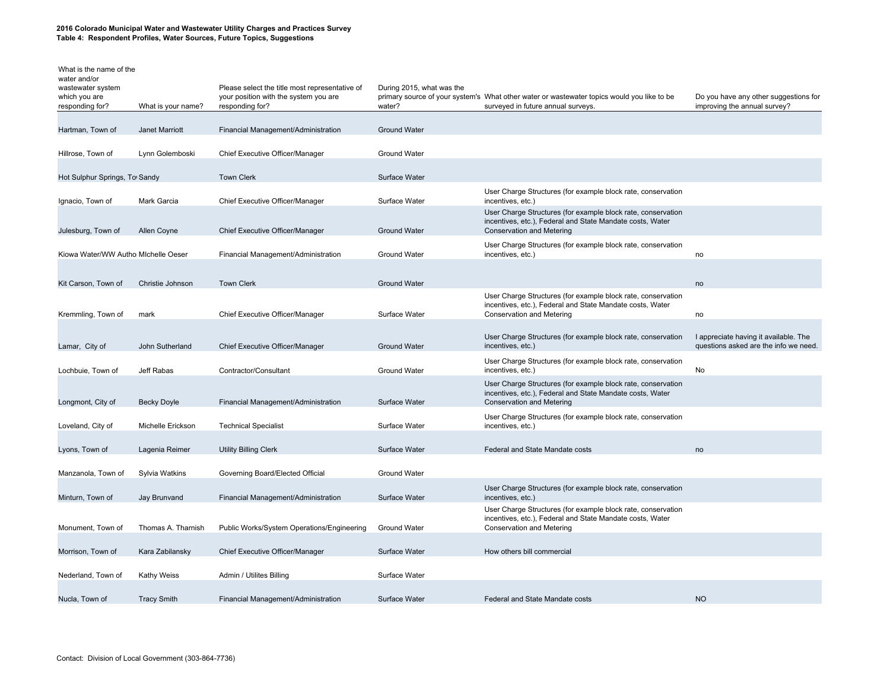| What is the name of the<br>water and/or<br>wastewater system<br>which you are<br>responding for? | What is your name? | Please select the title most representative of<br>your position with the system you are<br>responding for? | During 2015, what was the<br>water? | primary source of your system's What other water or wastewater topics would you like to be<br>surveyed in future annual surveys.                              | Do you have any other suggestions for<br>improving the annual survey?          |
|--------------------------------------------------------------------------------------------------|--------------------|------------------------------------------------------------------------------------------------------------|-------------------------------------|---------------------------------------------------------------------------------------------------------------------------------------------------------------|--------------------------------------------------------------------------------|
| Hartman, Town of                                                                                 | Janet Marriott     | Financial Management/Administration                                                                        | <b>Ground Water</b>                 |                                                                                                                                                               |                                                                                |
| Hillrose, Town of                                                                                | Lynn Golemboski    | Chief Executive Officer/Manager                                                                            | <b>Ground Water</b>                 |                                                                                                                                                               |                                                                                |
| Hot Sulphur Springs, To Sandy                                                                    |                    | <b>Town Clerk</b>                                                                                          | Surface Water                       |                                                                                                                                                               |                                                                                |
| Ignacio, Town of                                                                                 | Mark Garcia        | Chief Executive Officer/Manager                                                                            | Surface Water                       | User Charge Structures (for example block rate, conservation<br>incentives, etc.)                                                                             |                                                                                |
| Julesburg, Town of                                                                               | Allen Coyne        | Chief Executive Officer/Manager                                                                            | <b>Ground Water</b>                 | User Charge Structures (for example block rate, conservation<br>incentives, etc.), Federal and State Mandate costs, Water<br><b>Conservation and Metering</b> |                                                                                |
| Kiowa Water/WW Authol Michelle Oeser                                                             |                    | Financial Management/Administration                                                                        | <b>Ground Water</b>                 | User Charge Structures (for example block rate, conservation<br>incentives, etc.)                                                                             | no                                                                             |
| Kit Carson, Town of                                                                              | Christie Johnson   | <b>Town Clerk</b>                                                                                          | <b>Ground Water</b>                 |                                                                                                                                                               | no                                                                             |
|                                                                                                  |                    |                                                                                                            |                                     | User Charge Structures (for example block rate, conservation<br>incentives, etc.), Federal and State Mandate costs, Water                                     |                                                                                |
| Kremmling, Town of                                                                               | mark               | Chief Executive Officer/Manager                                                                            | Surface Water                       | Conservation and Metering                                                                                                                                     | no                                                                             |
| Lamar, City of                                                                                   | John Sutherland    | Chief Executive Officer/Manager                                                                            | <b>Ground Water</b>                 | User Charge Structures (for example block rate, conservation<br>incentives, etc.)                                                                             | I appreciate having it available. The<br>questions asked are the info we need. |
| Lochbuie, Town of                                                                                | Jeff Rabas         | Contractor/Consultant                                                                                      | <b>Ground Water</b>                 | User Charge Structures (for example block rate, conservation<br>incentives, etc.)                                                                             | <b>No</b>                                                                      |
| Longmont, City of                                                                                | <b>Becky Doyle</b> | Financial Management/Administration                                                                        | Surface Water                       | User Charge Structures (for example block rate, conservation<br>incentives, etc.), Federal and State Mandate costs, Water<br><b>Conservation and Metering</b> |                                                                                |
| Loveland, City of                                                                                | Michelle Erickson  | <b>Technical Specialist</b>                                                                                | Surface Water                       | User Charge Structures (for example block rate, conservation<br>incentives, etc.)                                                                             |                                                                                |
| Lyons, Town of                                                                                   | Lagenia Reimer     | <b>Utility Billing Clerk</b>                                                                               | Surface Water                       | Federal and State Mandate costs                                                                                                                               | no                                                                             |
| Manzanola, Town of                                                                               | Sylvia Watkins     | Governing Board/Elected Official                                                                           | <b>Ground Water</b>                 |                                                                                                                                                               |                                                                                |
| Minturn, Town of                                                                                 | Jay Brunvand       | Financial Management/Administration                                                                        | Surface Water                       | User Charge Structures (for example block rate, conservation<br>incentives, etc.)                                                                             |                                                                                |
|                                                                                                  |                    |                                                                                                            |                                     | User Charge Structures (for example block rate, conservation<br>incentives, etc.), Federal and State Mandate costs, Water                                     |                                                                                |
| Monument, Town of                                                                                | Thomas A. Tharnish | Public Works/System Operations/Engineering                                                                 | <b>Ground Water</b>                 | <b>Conservation and Metering</b>                                                                                                                              |                                                                                |
| Morrison, Town of                                                                                | Kara Zabilansky    | Chief Executive Officer/Manager                                                                            | Surface Water                       | How others bill commercial                                                                                                                                    |                                                                                |
| Nederland, Town of                                                                               | <b>Kathy Weiss</b> | Admin / Utilites Billing                                                                                   | Surface Water                       |                                                                                                                                                               |                                                                                |
| Nucla, Town of                                                                                   | <b>Tracy Smith</b> | Financial Management/Administration                                                                        | Surface Water                       | Federal and State Mandate costs                                                                                                                               | <b>NO</b>                                                                      |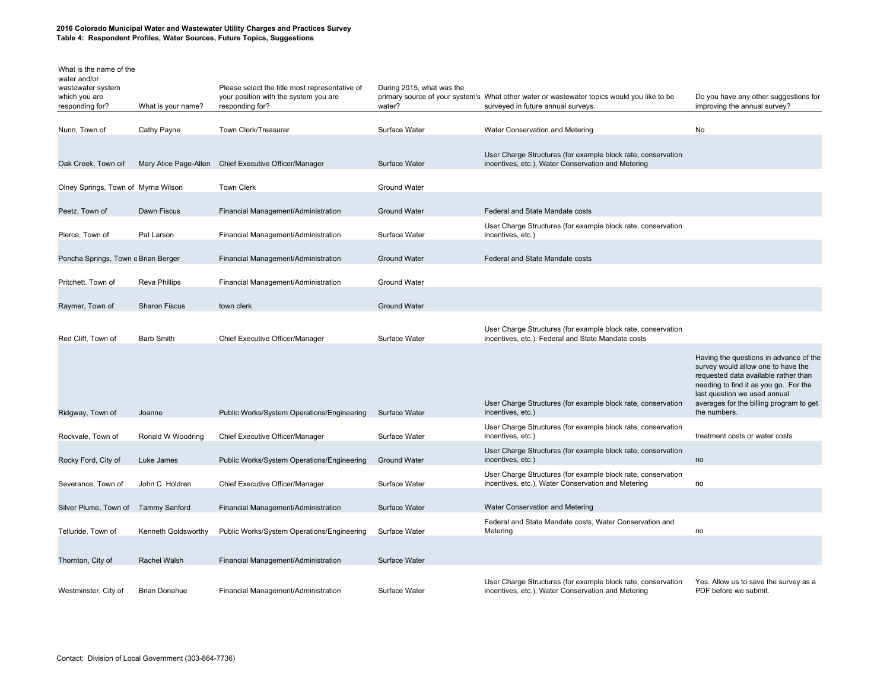| What is the name of the<br>water and/or<br>wastewater system<br>which you are<br>responding for? | What is your name?   | Please select the title most representative of<br>your position with the system you are<br>responding for? | During 2015, what was the<br>water? | primary source of your system's What other water or wastewater topics would you like to be<br>surveyed in future annual surveys. | Do you have any other suggestions for<br>improving the annual survey?                                                                                                                                                                                    |
|--------------------------------------------------------------------------------------------------|----------------------|------------------------------------------------------------------------------------------------------------|-------------------------------------|----------------------------------------------------------------------------------------------------------------------------------|----------------------------------------------------------------------------------------------------------------------------------------------------------------------------------------------------------------------------------------------------------|
| Nunn, Town of                                                                                    | Cathy Payne          | Town Clerk/Treasurer                                                                                       | Surface Water                       | Water Conservation and Metering                                                                                                  | No                                                                                                                                                                                                                                                       |
| Oak Creek, Town oif                                                                              |                      | Mary Alice Page-Allen Chief Executive Officer/Manager                                                      | Surface Water                       | User Charge Structures (for example block rate, conservation<br>incentives, etc.), Water Conservation and Metering               |                                                                                                                                                                                                                                                          |
| Olney Springs, Town of Myrna Wilson                                                              |                      | <b>Town Clerk</b>                                                                                          | <b>Ground Water</b>                 |                                                                                                                                  |                                                                                                                                                                                                                                                          |
| Peetz, Town of                                                                                   | Dawn Fiscus          | Financial Management/Administration                                                                        | <b>Ground Water</b>                 | Federal and State Mandate costs                                                                                                  |                                                                                                                                                                                                                                                          |
| Pierce, Town of                                                                                  | Pat Larson           | Financial Management/Administration                                                                        | Surface Water                       | User Charge Structures (for example block rate, conservation<br>incentives, etc.)                                                |                                                                                                                                                                                                                                                          |
| Poncha Springs, Town o Brian Berger                                                              |                      | Financial Management/Administration                                                                        | <b>Ground Water</b>                 | Federal and State Mandate costs                                                                                                  |                                                                                                                                                                                                                                                          |
| Pritchett. Town of                                                                               | <b>Reva Phillips</b> | Financial Management/Administration                                                                        | <b>Ground Water</b>                 |                                                                                                                                  |                                                                                                                                                                                                                                                          |
| Raymer, Town of                                                                                  | <b>Sharon Fiscus</b> | town clerk                                                                                                 | <b>Ground Water</b>                 |                                                                                                                                  |                                                                                                                                                                                                                                                          |
| Red Cliff, Town of                                                                               | <b>Barb Smith</b>    | Chief Executive Officer/Manager                                                                            | Surface Water                       | User Charge Structures (for example block rate, conservation<br>incentives, etc.), Federal and State Mandate costs               |                                                                                                                                                                                                                                                          |
| Ridgway, Town of                                                                                 | Joanne               | Public Works/System Operations/Engineering                                                                 | Surface Water                       | User Charge Structures (for example block rate, conservation<br>incentives, etc.)                                                | Having the questions in advance of the<br>survey would allow one to have the<br>requested data available rather than<br>needing to find it as you go. For the<br>last question we used annual<br>averages for the billing program to get<br>the numbers. |
| Rockvale, Town of                                                                                | Ronald W Woodring    | Chief Executive Officer/Manager                                                                            | Surface Water                       | User Charge Structures (for example block rate, conservation<br>incentives, etc.)                                                | treatment costs or water costs                                                                                                                                                                                                                           |
| Rocky Ford, City of                                                                              | Luke James           | Public Works/System Operations/Engineering                                                                 | <b>Ground Water</b>                 | User Charge Structures (for example block rate, conservation<br>incentives, etc.)                                                | no                                                                                                                                                                                                                                                       |
| Severance, Town of                                                                               | John C. Holdren      | Chief Executive Officer/Manager                                                                            | Surface Water                       | User Charge Structures (for example block rate, conservation<br>incentives, etc.), Water Conservation and Metering               | no                                                                                                                                                                                                                                                       |
| Silver Plume, Town of Tammy Sanford                                                              |                      | Financial Management/Administration                                                                        | Surface Water                       | Water Conservation and Metering                                                                                                  |                                                                                                                                                                                                                                                          |
| Telluride, Town of                                                                               | Kenneth Goldsworthy  | Public Works/System Operations/Engineering                                                                 | Surface Water                       | Federal and State Mandate costs, Water Conservation and<br>Metering                                                              | no                                                                                                                                                                                                                                                       |
| Thornton, City of                                                                                | Rachel Walsh         | Financial Management/Administration                                                                        | Surface Water                       |                                                                                                                                  |                                                                                                                                                                                                                                                          |
| Westminster, City of                                                                             | <b>Brian Donahue</b> | Financial Management/Administration                                                                        | Surface Water                       | User Charge Structures (for example block rate, conservation<br>incentives, etc.), Water Conservation and Metering               | Yes. Allow us to save the survey as a<br>PDF before we submit.                                                                                                                                                                                           |